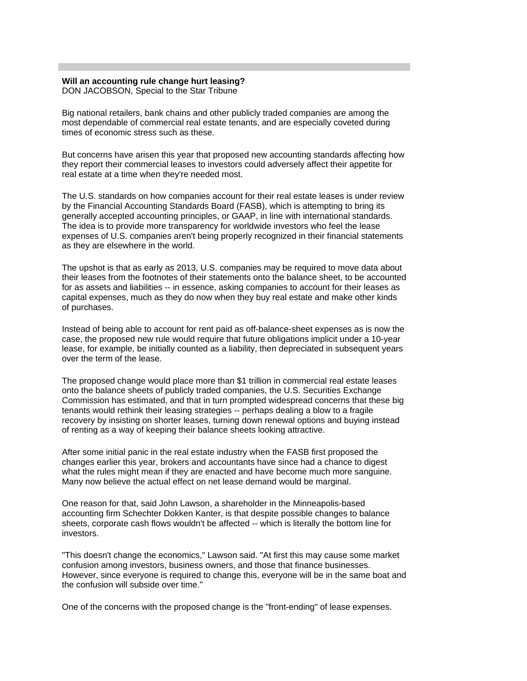## **Will an accounting rule change hurt leasing?**

DON JACOBSON, Special to the Star Tribune

Big national retailers, bank chains and other publicly traded companies are among the most dependable of commercial real estate tenants, and are especially coveted during times of economic stress such as these.

But concerns have arisen this year that proposed new accounting standards affecting how they report their commercial leases to investors could adversely affect their appetite for real estate at a time when they're needed most.

The U.S. standards on how companies account for their real estate leases is under review by the Financial Accounting Standards Board (FASB), which is attempting to bring its generally accepted accounting principles, or GAAP, in line with international standards. The idea is to provide more transparency for worldwide investors who feel the lease expenses of U.S. companies aren't being properly recognized in their financial statements as they are elsewhere in the world.

The upshot is that as early as 2013, U.S. companies may be required to move data about their leases from the footnotes of their statements onto the balance sheet, to be accounted for as assets and liabilities -- in essence, asking companies to account for their leases as capital expenses, much as they do now when they buy real estate and make other kinds of purchases.

Instead of being able to account for rent paid as off-balance-sheet expenses as is now the case, the proposed new rule would require that future obligations implicit under a 10-year lease, for example, be initially counted as a liability, then depreciated in subsequent years over the term of the lease.

The proposed change would place more than \$1 trillion in commercial real estate leases onto the balance sheets of publicly traded companies, the U.S. Securities Exchange Commission has estimated, and that in turn prompted widespread concerns that these big tenants would rethink their leasing strategies -- perhaps dealing a blow to a fragile recovery by insisting on shorter leases, turning down renewal options and buying instead of renting as a way of keeping their balance sheets looking attractive.

After some initial panic in the real estate industry when the FASB first proposed the changes earlier this year, brokers and accountants have since had a chance to digest what the rules might mean if they are enacted and have become much more sanguine. Many now believe the actual effect on net lease demand would be marginal.

One reason for that, said John Lawson, a shareholder in the Minneapolis-based accounting firm Schechter Dokken Kanter, is that despite possible changes to balance sheets, corporate cash flows wouldn't be affected -- which is literally the bottom line for investors.

"This doesn't change the economics," Lawson said. "At first this may cause some market confusion among investors, business owners, and those that finance businesses. However, since everyone is required to change this, everyone will be in the same boat and the confusion will subside over time."

One of the concerns with the proposed change is the "front-ending" of lease expenses.